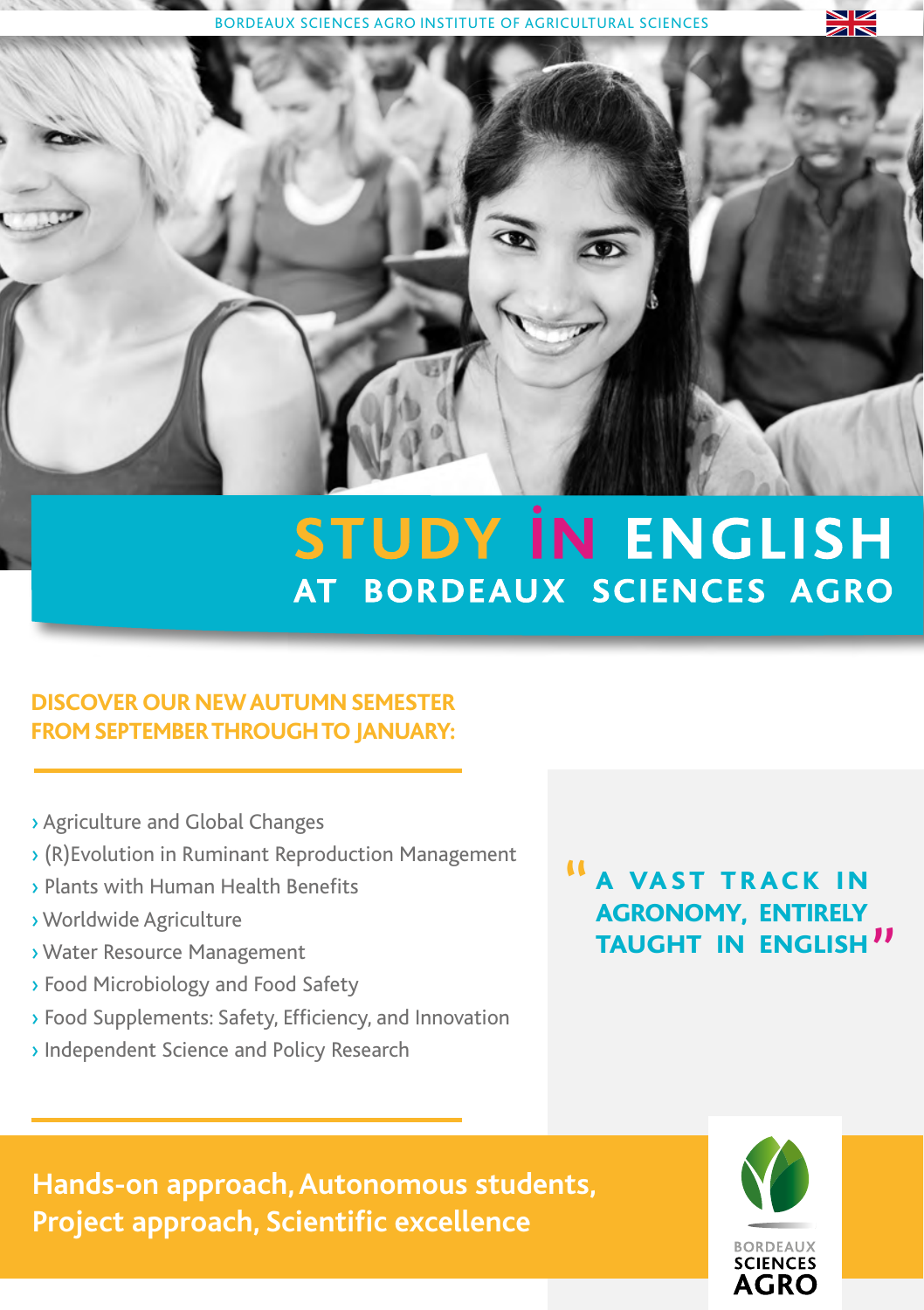OF AGRICULTURAL SCIENCES

# **STUDY IN ENGLISH** AT BORDEAUX SCIENCES AGRO

## **DISCOVER OUR NEW AUTUMN SEMESTER FROM SEPTEMBER THROUGH TO JANUARY:**

- › Agriculture and Global Changes
- › (R)Evolution in Ruminant Reproduction Management
- › Plants with Human Health Benefits
- › Worldwide Agriculture
- › Water Resource Management
- › Food Microbiology and Food Safety
- › Food Supplements: Safety, Efficiency, and Innovation
- › Independent Science and Policy Research

" A VAST TRACK IN AGRONOMY, ENTIRELY TAUGHT IN ENGLISH I AGRONOMY, ENTIRELY

**Hands-on approach, Autonomous students, Project approach, Scientific excellence**

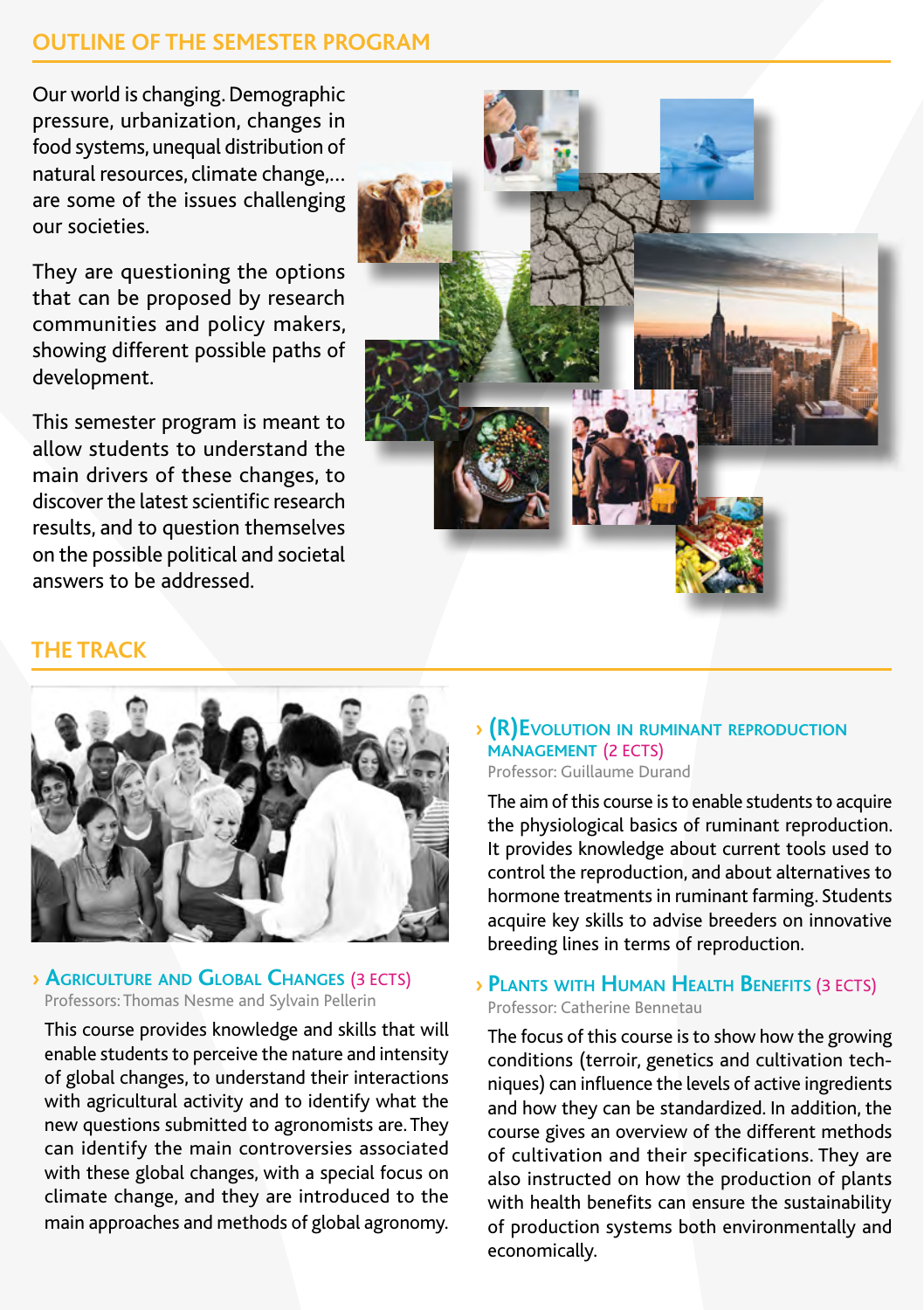## **OUTLINE OF THE SEMESTER PROGRAM**

Our world is changing. Demographic pressure, urbanization, changes in food systems, unequal distribution of natural resources, climate change,… are some of the issues challenging our societies.

They are questioning the options that can be proposed by research communities and policy makers, showing different possible paths of development.

This semester program is meant to allow students to understand the main drivers of these changes, to discover the latest scientific research results, and to question themselves on the possible political and societal answers to be addressed.



#### **THE TRACK**



#### **› Agriculture and Global Changes** (3 ECTS) Professors: Thomas Nesme and Sylvain Pellerin

This course provides knowledge and skills that will enable students to perceive the nature and intensity of global changes, to understand their interactions with agricultural activity and to identify what the new questions submitted to agronomists are. They can identify the main controversies associated with these global changes, with a special focus on climate change, and they are introduced to the main approaches and methods of global agronomy.

#### **› (R)Evolution in ruminant reproduction management** (2 ECTS) Professor: Guillaume Durand

The aim of this course is to enable students to acquire the physiological basics of ruminant reproduction. It provides knowledge about current tools used to control the reproduction, and about alternatives to hormone treatments in ruminant farming. Students acquire key skills to advise breeders on innovative breeding lines in terms of reproduction.

#### **› Plants with Human Health Benefits** (3 ECTS) Professor: Catherine Bennetau

The focus of this course is to show how the growing conditions (terroir, genetics and cultivation techniques) can influence the levels of active ingredients and how they can be standardized. In addition, the course gives an overview of the different methods of cultivation and their specifications. They are also instructed on how the production of plants with health benefits can ensure the sustainability of production systems both environmentally and economically.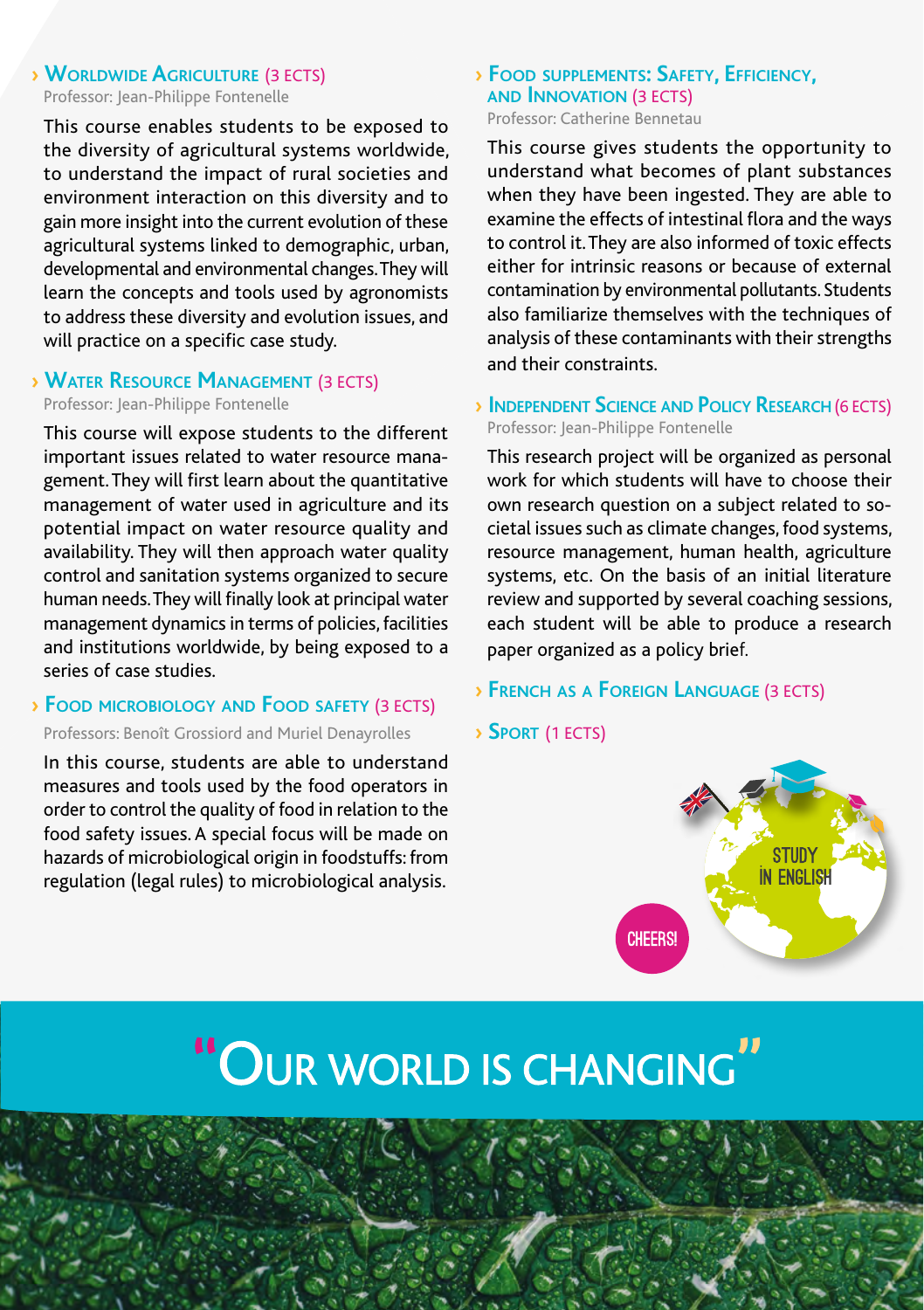## **› Worldwide Agriculture** (3 ECTS)

Professor: Jean-Philippe Fontenelle

This course enables students to be exposed to the diversity of agricultural systems worldwide, to understand the impact of rural societies and environment interaction on this diversity and to gain more insight into the current evolution of these agricultural systems linked to demographic, urban, developmental and environmental changes. They will learn the concepts and tools used by agronomists to address these diversity and evolution issues, and will practice on a specific case study.

## **› Water Resource Management** (3 ECTS)

Professor: Jean-Philippe Fontenelle

This course will expose students to the different important issues related to water resource management. They will first learn about the quantitative management of water used in agriculture and its potential impact on water resource quality and availability. They will then approach water quality control and sanitation systems organized to secure human needs. They will finally look at principal water management dynamics in terms of policies, facilities and institutions worldwide, by being exposed to a series of case studies.

#### **› Food microbiology and Food safety** (3 ECTS)

#### Professors: Benoît Grossiord and Muriel Denayrolles

In this course, students are able to understand measures and tools used by the food operators in order to control the quality of food in relation to the food safety issues. A special focus will be made on hazards of microbiological origin in foodstuffs: from regulation (legal rules) to microbiological analysis.

## **› Food supplements: Safety, Efficiency, and Innovation** (3 ECTS)

Professor: Catherine Bennetau

This course gives students the opportunity to understand what becomes of plant substances when they have been ingested. They are able to examine the effects of intestinal flora and the ways to control it. They are also informed of toxic effects either for intrinsic reasons or because of external contamination by environmental pollutants. Students also familiarize themselves with the techniques of analysis of these contaminants with their strengths and their constraints.

**› Independent Science and Policy Research**(6 ECTS) Professor: Jean-Philippe Fontenelle

This research project will be organized as personal work for which students will have to choose their own research question on a subject related to societal issues such as climate changes, food systems, resource management, human health, agriculture systems, etc. On the basis of an initial literature review and supported by several coaching sessions, each student will be able to produce a research paper organized as a policy brief.

- **› French as a Foreign Language** (3 ECTS)
- **› Sport** (1 ECTS)



## "OUR WORLD IS CHANGING